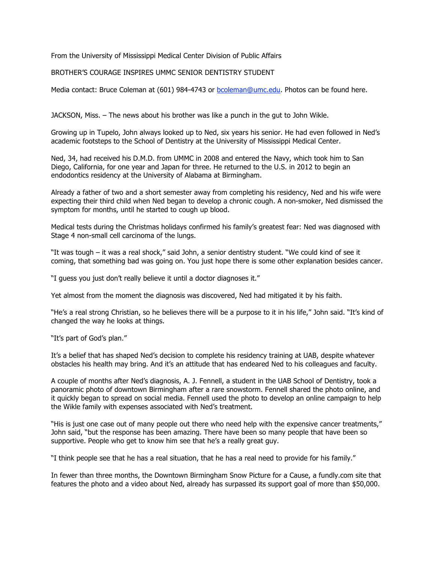From the University of Mississippi Medical Center Division of Public Affairs

## BROTHER'S COURAGE INSPIRES UMMC SENIOR DENTISTRY STUDENT

Media contact: Bruce Coleman at (601) 984-4743 or bcoleman@umc.edu. Photos can be found here.

JACKSON, Miss. – The news about his brother was like a punch in the gut to John Wikle.

Growing up in Tupelo, John always looked up to Ned, six years his senior. He had even followed in Ned's academic footsteps to the School of Dentistry at the University of Mississippi Medical Center.

Ned, 34, had received his D.M.D. from UMMC in 2008 and entered the Navy, which took him to San Diego, California, for one year and Japan for three. He returned to the U.S. in 2012 to begin an endodontics residency at the University of Alabama at Birmingham.

Already a father of two and a short semester away from completing his residency, Ned and his wife were expecting their third child when Ned began to develop a chronic cough. A non-smoker, Ned dismissed the symptom for months, until he started to cough up blood.

Medical tests during the Christmas holidays confirmed his family's greatest fear: Ned was diagnosed with Stage 4 non-small cell carcinoma of the lungs.

"It was tough – it was a real shock," said John, a senior dentistry student. "We could kind of see it coming, that something bad was going on. You just hope there is some other explanation besides cancer.

"I guess you just don't really believe it until a doctor diagnoses it."

Yet almost from the moment the diagnosis was discovered, Ned had mitigated it by his faith.

"He's a real strong Christian, so he believes there will be a purpose to it in his life," John said. "It's kind of changed the way he looks at things.

"It's part of God's plan."

It's a belief that has shaped Ned's decision to complete his residency training at UAB, despite whatever obstacles his health may bring. And it's an attitude that has endeared Ned to his colleagues and faculty.

A couple of months after Ned's diagnosis, A. J. Fennell, a student in the UAB School of Dentistry, took a panoramic photo of downtown Birmingham after a rare snowstorm. Fennell shared the photo online, and it quickly began to spread on social media. Fennell used the photo to develop an online campaign to help the Wikle family with expenses associated with Ned's treatment.

"His is just one case out of many people out there who need help with the expensive cancer treatments," John said, "but the response has been amazing. There have been so many people that have been so supportive. People who get to know him see that he's a really great guy.

"I think people see that he has a real situation, that he has a real need to provide for his family."

In fewer than three months, the Downtown Birmingham Snow Picture for a Cause, a fundly.com site that features the photo and a video about Ned, already has surpassed its support goal of more than \$50,000.